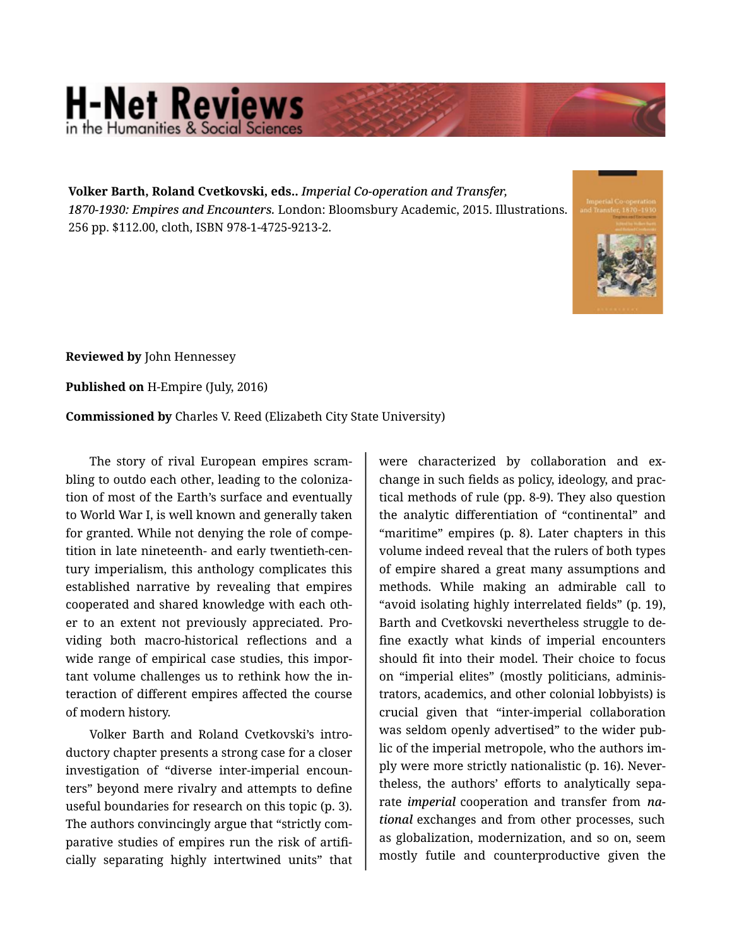## **H-Net Reviews**

**Volker Barth, Roland Cvetkovski, eds..** *Imperial Co-operation and Transfer, 1870-1930: Empires and Encounters.* London: Bloomsbury Academic, 2015. Illustrations. 256 pp. \$112.00, cloth, ISBN 978-1-4725-9213-2.



**Reviewed by** John Hennessey

**Published on** H-Empire (July, 2016)

**Commissioned by** Charles V. Reed (Elizabeth City State University)

The story of rival European empires scram‐ bling to outdo each other, leading to the coloniza‐ tion of most of the Earth's surface and eventually to World War I, is well known and generally taken for granted. While not denying the role of competition in late nineteenth- and early twentieth-cen‐ tury imperialism, this anthology complicates this established narrative by revealing that empires cooperated and shared knowledge with each oth‐ er to an extent not previously appreciated. Pro‐ viding both macro-historical reflections and a wide range of empirical case studies, this important volume challenges us to rethink how the in‐ teraction of different empires affected the course of modern history.

Volker Barth and Roland Cvetkovski's intro‐ ductory chapter presents a strong case for a closer investigation of "diverse inter-imperial encoun‐ ters" beyond mere rivalry and attempts to define useful boundaries for research on this topic (p. 3). The authors convincingly argue that "strictly com‐ parative studies of empires run the risk of artifi‐ cially separating highly intertwined units" that

were characterized by collaboration and exchange in such fields as policy, ideology, and prac‐ tical methods of rule (pp. 8-9). They also question the analytic differentiation of "continental" and "maritime" empires (p. 8). Later chapters in this volume indeed reveal that the rulers of both types of empire shared a great many assumptions and methods. While making an admirable call to "avoid isolating highly interrelated fields" (p. 19), Barth and Cvetkovski nevertheless struggle to de‐ fine exactly what kinds of imperial encounters should fit into their model. Their choice to focus on "imperial elites" (mostly politicians, adminis‐ trators, academics, and other colonial lobbyists) is crucial given that "inter-imperial collaboration was seldom openly advertised" to the wider pub‐ lic of the imperial metropole, who the authors im‐ ply were more strictly nationalistic (p. 16). Never‐ theless, the authors' efforts to analytically sepa‐ rate *imperial* cooperation and transfer from *na‐ tional* exchanges and from other processes, such as globalization, modernization, and so on, seem mostly futile and counterproductive given the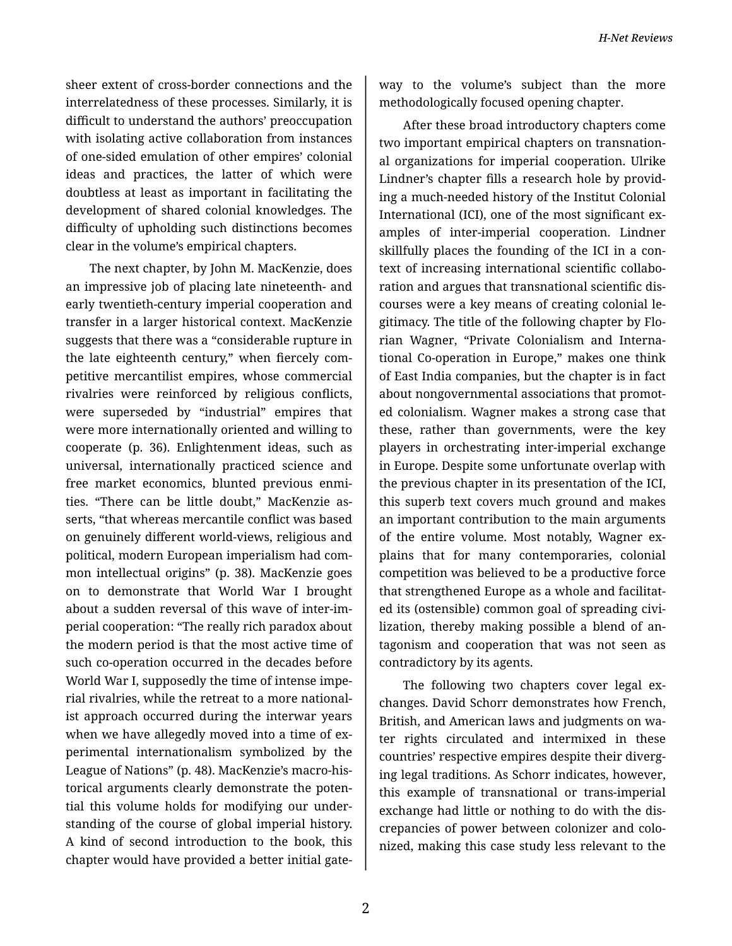sheer extent of cross-border connections and the interrelatedness of these processes. Similarly, it is difficult to understand the authors' preoccupation with isolating active collaboration from instances of one-sided emulation of other empires' colonial ideas and practices, the latter of which were doubtless at least as important in facilitating the development of shared colonial knowledges. The difficulty of upholding such distinctions becomes clear in the volume's empirical chapters.

The next chapter, by John M. MacKenzie, does an impressive job of placing late nineteenth- and early twentieth-century imperial cooperation and transfer in a larger historical context. MacKenzie suggests that there was a "considerable rupture in the late eighteenth century," when fiercely com‐ petitive mercantilist empires, whose commercial rivalries were reinforced by religious conflicts, were superseded by "industrial" empires that were more internationally oriented and willing to cooperate (p. 36). Enlightenment ideas, such as universal, internationally practiced science and free market economics, blunted previous enmi‐ ties. "There can be little doubt," MacKenzie as‐ serts, "that whereas mercantile conflict was based on genuinely different world-views, religious and political, modern European imperialism had com‐ mon intellectual origins" (p. 38). MacKenzie goes on to demonstrate that World War I brought about a sudden reversal of this wave of inter-im‐ perial cooperation: "The really rich paradox about the modern period is that the most active time of such co-operation occurred in the decades before World War I, supposedly the time of intense impe‐ rial rivalries, while the retreat to a more national‐ ist approach occurred during the interwar years when we have allegedly moved into a time of experimental internationalism symbolized by the League of Nations" (p. 48). MacKenzie's macro-his‐ torical arguments clearly demonstrate the poten‐ tial this volume holds for modifying our under‐ standing of the course of global imperial history. A kind of second introduction to the book, this chapter would have provided a better initial gate‐

way to the volume's subject than the more methodologically focused opening chapter.

After these broad introductory chapters come two important empirical chapters on transnation‐ al organizations for imperial cooperation. Ulrike Lindner's chapter fills a research hole by provid‐ ing a much-needed history of the Institut Colonial International (ICI), one of the most significant ex‐ amples of inter-imperial cooperation. Lindner skillfully places the founding of the ICI in a con‐ text of increasing international scientific collabo‐ ration and argues that transnational scientific dis‐ courses were a key means of creating colonial le‐ gitimacy. The title of the following chapter by Flo‐ rian Wagner, "Private Colonialism and Interna‐ tional Co-operation in Europe," makes one think of East India companies, but the chapter is in fact about nongovernmental associations that promot‐ ed colonialism. Wagner makes a strong case that these, rather than governments, were the key players in orchestrating inter-imperial exchange in Europe. Despite some unfortunate overlap with the previous chapter in its presentation of the ICI, this superb text covers much ground and makes an important contribution to the main arguments of the entire volume. Most notably, Wagner ex‐ plains that for many contemporaries, colonial competition was believed to be a productive force that strengthened Europe as a whole and facilitat‐ ed its (ostensible) common goal of spreading civi‐ lization, thereby making possible a blend of an‐ tagonism and cooperation that was not seen as contradictory by its agents.

The following two chapters cover legal exchanges. David Schorr demonstrates how French, British, and American laws and judgments on wa‐ ter rights circulated and intermixed in these countries' respective empires despite their diverg‐ ing legal traditions. As Schorr indicates, however, this example of transnational or trans-imperial exchange had little or nothing to do with the dis‐ crepancies of power between colonizer and colo‐ nized, making this case study less relevant to the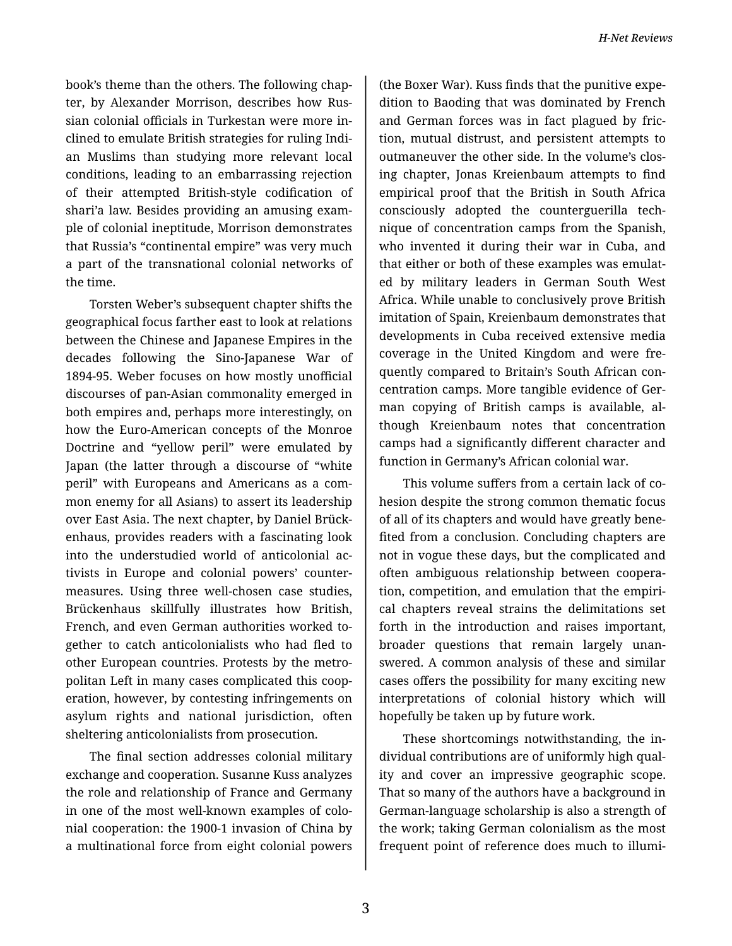book's theme than the others. The following chap‐ ter, by Alexander Morrison, describes how Rus‐ sian colonial officials in Turkestan were more in‐ clined to emulate British strategies for ruling Indi‐ an Muslims than studying more relevant local conditions, leading to an embarrassing rejection of their attempted British-style codification of shari'a law. Besides providing an amusing exam‐ ple of colonial ineptitude, Morrison demonstrates that Russia's "continental empire" was very much a part of the transnational colonial networks of the time.

Torsten Weber's subsequent chapter shifts the geographical focus farther east to look at relations between the Chinese and Japanese Empires in the decades following the Sino-Japanese War of 1894-95. Weber focuses on how mostly unofficial discourses of pan-Asian commonality emerged in both empires and, perhaps more interestingly, on how the Euro-American concepts of the Monroe Doctrine and "yellow peril" were emulated by Japan (the latter through a discourse of "white peril" with Europeans and Americans as a com‐ mon enemy for all Asians) to assert its leadership over East Asia. The next chapter, by Daniel Brück‐ enhaus, provides readers with a fascinating look into the understudied world of anticolonial ac‐ tivists in Europe and colonial powers' counter‐ measures. Using three well-chosen case studies, Brückenhaus skillfully illustrates how British, French, and even German authorities worked to‐ gether to catch anticolonialists who had fled to other European countries. Protests by the metro‐ politan Left in many cases complicated this coop‐ eration, however, by contesting infringements on asylum rights and national jurisdiction, often sheltering anticolonialists from prosecution.

The final section addresses colonial military exchange and cooperation. Susanne Kuss analyzes the role and relationship of France and Germany in one of the most well-known examples of colo‐ nial cooperation: the 1900-1 invasion of China by a multinational force from eight colonial powers

(the Boxer War). Kuss finds that the punitive expe‐ dition to Baoding that was dominated by French and German forces was in fact plagued by fric‐ tion, mutual distrust, and persistent attempts to outmaneuver the other side. In the volume's clos‐ ing chapter, Jonas Kreienbaum attempts to find empirical proof that the British in South Africa consciously adopted the counterguerilla tech‐ nique of concentration camps from the Spanish, who invented it during their war in Cuba, and that either or both of these examples was emulat‐ ed by military leaders in German South West Africa. While unable to conclusively prove British imitation of Spain, Kreienbaum demonstrates that developments in Cuba received extensive media coverage in the United Kingdom and were fre‐ quently compared to Britain's South African con‐ centration camps. More tangible evidence of Ger‐ man copying of British camps is available, al‐ though Kreienbaum notes that concentration camps had a significantly different character and function in Germany's African colonial war.

This volume suffers from a certain lack of co‐ hesion despite the strong common thematic focus of all of its chapters and would have greatly bene‐ fited from a conclusion. Concluding chapters are not in vogue these days, but the complicated and often ambiguous relationship between coopera‐ tion, competition, and emulation that the empiri‐ cal chapters reveal strains the delimitations set forth in the introduction and raises important, broader questions that remain largely unan‐ swered. A common analysis of these and similar cases offers the possibility for many exciting new interpretations of colonial history which will hopefully be taken up by future work.

These shortcomings notwithstanding, the in‐ dividual contributions are of uniformly high qual‐ ity and cover an impressive geographic scope. That so many of the authors have a background in German-language scholarship is also a strength of the work; taking German colonialism as the most frequent point of reference does much to illumi‐